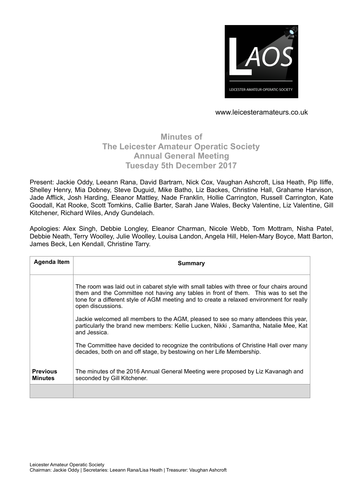

# **Minutes of The Leicester Amateur Operatic Society Annual General Meeting Tuesday 5th December 2017**

Present: Jackie Oddy, Leeann Rana, David Bartram, Nick Cox, Vaughan Ashcroft, Lisa Heath, Pip Iliffe, Shelley Henry, Mia Dobney, Steve Duguid, Mike Batho, Liz Backes, Christine Hall, Grahame Harvison, Jade Afflick, Josh Harding, Eleanor Mattley, Nade Franklin, Hollie Carrington, Russell Carrington, Kate Goodall, Kat Rooke, Scott Tomkins, Callie Barter, Sarah Jane Wales, Becky Valentine, Liz Valentine, Gill Kitchener, Richard Wiles, Andy Gundelach.

Apologies: Alex Singh, Debbie Longley, Eleanor Charman, Nicole Webb, Tom Mottram, Nisha Patel, Debbie Neath, Terry Woolley, Julie Woolley, Louisa Landon, Angela Hill, Helen-Mary Boyce, Matt Barton, James Beck, Len Kendall, Christine Tarry.

| <b>Agenda Item</b>                | <b>Summary</b>                                                                                                                                                                                                                                                                                   |
|-----------------------------------|--------------------------------------------------------------------------------------------------------------------------------------------------------------------------------------------------------------------------------------------------------------------------------------------------|
|                                   | The room was laid out in cabaret style with small tables with three or four chairs around<br>them and the Committee not having any tables in front of them. This was to set the<br>tone for a different style of AGM meeting and to create a relaxed environment for really<br>open discussions. |
|                                   | Jackie welcomed all members to the AGM, pleased to see so many attendees this year,<br>particularly the brand new members: Kellie Lucken, Nikki, Samantha, Natalie Mee, Kat<br>and Jessica.                                                                                                      |
|                                   | The Committee have decided to recognize the contributions of Christine Hall over many<br>decades, both on and off stage, by bestowing on her Life Membership.                                                                                                                                    |
| <b>Previous</b><br><b>Minutes</b> | The minutes of the 2016 Annual General Meeting were proposed by Liz Kavanagh and<br>seconded by Gill Kitchener.                                                                                                                                                                                  |
|                                   |                                                                                                                                                                                                                                                                                                  |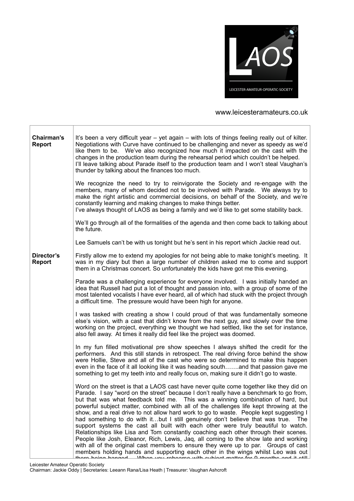

| Chairman's<br><b>Report</b> | It's been a very difficult year – yet again – with lots of things feeling really out of kilter.<br>Negotiations with Curve have continued to be challenging and never as speedy as we'd<br>like them to be. We've also recognized how much it impacted on the cast with the<br>changes in the production team during the rehearsal period which couldn't be helped.<br>I'll leave talking about Parade itself to the production team and I won't steal Vaughan's<br>thunder by talking about the finances too much.                                                                                                                                                                                                                                                                                                                                                                                                                                                                                                                                                                                                        |
|-----------------------------|----------------------------------------------------------------------------------------------------------------------------------------------------------------------------------------------------------------------------------------------------------------------------------------------------------------------------------------------------------------------------------------------------------------------------------------------------------------------------------------------------------------------------------------------------------------------------------------------------------------------------------------------------------------------------------------------------------------------------------------------------------------------------------------------------------------------------------------------------------------------------------------------------------------------------------------------------------------------------------------------------------------------------------------------------------------------------------------------------------------------------|
|                             | We recognize the need to try to reinvigorate the Society and re-engage with the<br>members, many of whom decided not to be involved with Parade. We always try to<br>make the right artistic and commercial decisions, on behalf of the Society, and we're<br>constantly learning and making changes to make things better.<br>I've always thought of LAOS as being a family and we'd like to get some stability back.                                                                                                                                                                                                                                                                                                                                                                                                                                                                                                                                                                                                                                                                                                     |
|                             | We'll go through all of the formalities of the agenda and then come back to talking about<br>the future.                                                                                                                                                                                                                                                                                                                                                                                                                                                                                                                                                                                                                                                                                                                                                                                                                                                                                                                                                                                                                   |
|                             | Lee Samuels can't be with us tonight but he's sent in his report which Jackie read out.                                                                                                                                                                                                                                                                                                                                                                                                                                                                                                                                                                                                                                                                                                                                                                                                                                                                                                                                                                                                                                    |
| Director's<br><b>Report</b> | Firstly allow me to extend my apologies for not being able to make tonight's meeting. It<br>was in my diary but then a large number of children asked me to come and support<br>them in a Christmas concert. So unfortunately the kids have got me this evening.                                                                                                                                                                                                                                                                                                                                                                                                                                                                                                                                                                                                                                                                                                                                                                                                                                                           |
|                             | Parade was a challenging experience for everyone involved. I was initially handed an<br>idea that Russell had put a lot of thought and passion into, with a group of some of the<br>most talented vocalists I have ever heard, all of which had stuck with the project through<br>a difficult time. The pressure would have been high for anyone.                                                                                                                                                                                                                                                                                                                                                                                                                                                                                                                                                                                                                                                                                                                                                                          |
|                             | I was tasked with creating a show I could proud of that was fundamentally someone<br>else's vision, with a cast that didn't know from the next guy, and slowly over the time<br>working on the project, everything we thought we had settled, like the set for instance,<br>also fell away. At times it really did feel like the project was doomed.                                                                                                                                                                                                                                                                                                                                                                                                                                                                                                                                                                                                                                                                                                                                                                       |
|                             | In my fun filled motivational pre show speeches I always shifted the credit for the<br>performers. And this still stands in retrospect. The real driving force behind the show<br>were Hollie, Steve and all of the cast who were so determined to make this happen<br>even in the face of it all looking like it was heading southand that passion gave me<br>something to get my teeth into and really focus on, making sure it didn't go to waste.                                                                                                                                                                                                                                                                                                                                                                                                                                                                                                                                                                                                                                                                      |
|                             | Word on the street is that a LAOS cast have never quite come together like they did on<br>Parade. I say "word on the street" because I don't really have a benchmark to go from,<br>but that was what feedback told me.  This was a winning combination of hard, but<br>powerful subject matter, combined with all of the challenges life kept throwing at the<br>show, and a real drive to not allow hard work to go to waste. People kept suggesting I<br>had something to do with itbut I still genuinely don't believe that was true. The<br>support systems the cast all built with each other were truly beautiful to watch.<br>Relationships like Lisa and Tom constantly coaching each other through their scenes.<br>People like Josh, Eleanor, Rich, Lewis, Jaq, all coming to the show late and working<br>with all of the original cast members to ensure they were up to par. Groups of cast<br>members holding hands and supporting each other in the wings whilst Leo was out<br>$H_{\text{max}}$ haing hanged $\sim M_{\text{max}}$ varies repeated with qubiest matter for 0 menths and it of $\parallel$ |

Leicester Amateur Operatic Society Chairman: Jackie Oddy | Secretaries: Leeann Rana/Lisa Heath | Treasurer: Vaughan Ashcroft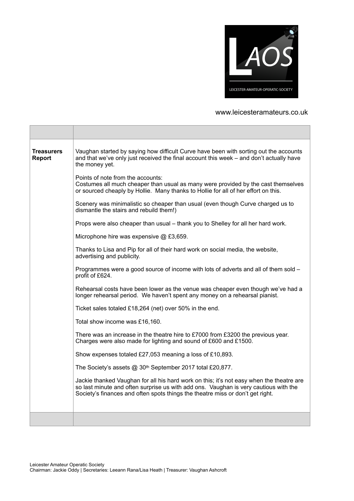

| <b>Treasurers</b><br><b>Report</b> | Vaughan started by saying how difficult Curve have been with sorting out the accounts<br>and that we've only just received the final account this week – and don't actually have<br>the money yet.                                                                 |
|------------------------------------|--------------------------------------------------------------------------------------------------------------------------------------------------------------------------------------------------------------------------------------------------------------------|
|                                    | Points of note from the accounts:<br>Costumes all much cheaper than usual as many were provided by the cast themselves<br>or sourced cheaply by Hollie. Many thanks to Hollie for all of her effort on this.                                                       |
|                                    | Scenery was minimalistic so cheaper than usual (even though Curve charged us to<br>dismantle the stairs and rebuild them!)                                                                                                                                         |
|                                    | Props were also cheaper than usual – thank you to Shelley for all her hard work.                                                                                                                                                                                   |
|                                    | Microphone hire was expensive @ £3,659.                                                                                                                                                                                                                            |
|                                    | Thanks to Lisa and Pip for all of their hard work on social media, the website,<br>advertising and publicity.                                                                                                                                                      |
|                                    | Programmes were a good source of income with lots of adverts and all of them sold -<br>profit of £624.                                                                                                                                                             |
|                                    | Rehearsal costs have been lower as the venue was cheaper even though we've had a<br>longer rehearsal period. We haven't spent any money on a rehearsal pianist.                                                                                                    |
|                                    | Ticket sales totaled £18,264 (net) over 50% in the end.                                                                                                                                                                                                            |
|                                    | Total show income was £16,160.                                                                                                                                                                                                                                     |
|                                    | There was an increase in the theatre hire to £7000 from £3200 the previous year.<br>Charges were also made for lighting and sound of £600 and £1500.                                                                                                               |
|                                    | Show expenses totaled £27,053 meaning a loss of £10,893.                                                                                                                                                                                                           |
|                                    | The Society's assets @ 30 <sup>th</sup> September 2017 total £20,877.                                                                                                                                                                                              |
|                                    | Jackie thanked Vaughan for all his hard work on this; it's not easy when the theatre are<br>so last minute and often surprise us with add ons. Vaughan is very cautious with the<br>Society's finances and often spots things the theatre miss or don't get right. |
|                                    |                                                                                                                                                                                                                                                                    |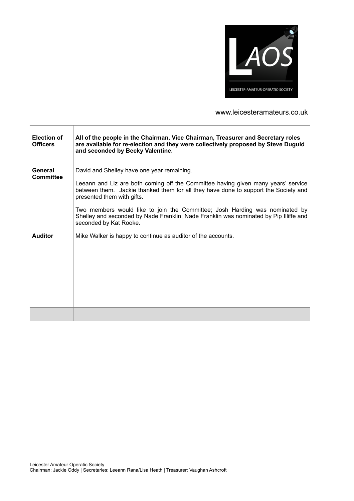

| <b>Election of</b><br><b>Officers</b> | All of the people in the Chairman, Vice Chairman, Treasurer and Secretary roles<br>are available for re-election and they were collectively proposed by Steve Duguid<br>and seconded by Becky Valentine. |
|---------------------------------------|----------------------------------------------------------------------------------------------------------------------------------------------------------------------------------------------------------|
| General<br><b>Committee</b>           | David and Shelley have one year remaining.                                                                                                                                                               |
|                                       | Leeann and Liz are both coming off the Committee having given many years' service<br>between them. Jackie thanked them for all they have done to support the Society and<br>presented them with gifts.   |
|                                       | Two members would like to join the Committee; Josh Harding was nominated by<br>Shelley and seconded by Nade Franklin; Nade Franklin was nominated by Pip Illiffe and<br>seconded by Kat Rooke.           |
| <b>Auditor</b>                        | Mike Walker is happy to continue as auditor of the accounts.                                                                                                                                             |
|                                       |                                                                                                                                                                                                          |
|                                       |                                                                                                                                                                                                          |
|                                       |                                                                                                                                                                                                          |
|                                       |                                                                                                                                                                                                          |
|                                       |                                                                                                                                                                                                          |
|                                       |                                                                                                                                                                                                          |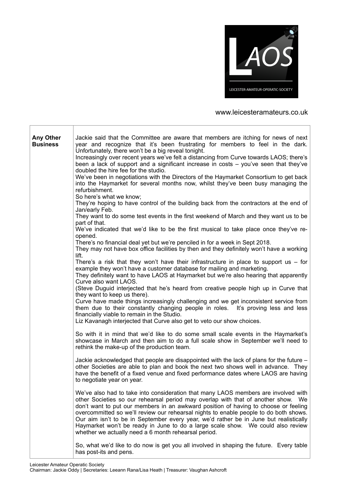

| <b>Any Other</b><br><b>Business</b> | Jackie said that the Committee are aware that members are itching for news of next<br>year and recognize that it's been frustrating for members to feel in the dark.<br>Unfortunately, there won't be a big reveal tonight.<br>Increasingly over recent years we've felt a distancing from Curve towards LAOS; there's<br>been a lack of support and a significant increase in costs - you've seen that they've<br>doubled the hire fee for the studio.<br>We've been in negotiations with the Directors of the Haymarket Consortium to get back<br>into the Haymarket for several months now, whilst they've been busy managing the<br>refurbishment.<br>So here's what we know; |
|-------------------------------------|-----------------------------------------------------------------------------------------------------------------------------------------------------------------------------------------------------------------------------------------------------------------------------------------------------------------------------------------------------------------------------------------------------------------------------------------------------------------------------------------------------------------------------------------------------------------------------------------------------------------------------------------------------------------------------------|
|                                     | They're hoping to have control of the building back from the contractors at the end of<br>Jan/early Feb.<br>They want to do some test events in the first weekend of March and they want us to be                                                                                                                                                                                                                                                                                                                                                                                                                                                                                 |
|                                     | part of that.<br>We've indicated that we'd like to be the first musical to take place once they've re-<br>opened.                                                                                                                                                                                                                                                                                                                                                                                                                                                                                                                                                                 |
|                                     | There's no financial deal yet but we're penciled in for a week in Sept 2018.<br>They may not have box office facilities by then and they definitely won't have a working<br>lift.                                                                                                                                                                                                                                                                                                                                                                                                                                                                                                 |
|                                     | There's a risk that they won't have their infrastructure in place to support us $-$ for<br>example they won't have a customer database for mailing and marketing.<br>They definitely want to have LAOS at Haymarket but we're also hearing that apparently<br>Curve also want LAOS.                                                                                                                                                                                                                                                                                                                                                                                               |
|                                     | (Steve Duguid interjected that he's heard from creative people high up in Curve that<br>they want to keep us there).<br>Curve have made things increasingly challenging and we get inconsistent service from<br>them due to their constantly changing people in roles. It's proving less and less<br>financially viable to remain in the Studio.<br>Liz Kavanagh interjected that Curve also get to veto our show choices.                                                                                                                                                                                                                                                        |
|                                     | So with it in mind that we'd like to do some small scale events in the Haymarket's<br>showcase in March and then aim to do a full scale show in September we'll need to<br>rethink the make-up of the production team.                                                                                                                                                                                                                                                                                                                                                                                                                                                            |
|                                     | Jackie acknowledged that people are disappointed with the lack of plans for the future -<br>other Societies are able to plan and book the next two shows well in advance. They<br>have the benefit of a fixed venue and fixed performance dates where LAOS are having<br>to negotiate year on year.                                                                                                                                                                                                                                                                                                                                                                               |
|                                     | We've also had to take into consideration that many LAOS members are involved with<br>other Societies so our rehearsal period may overlap with that of another show. We<br>don't want to put our members in an awkward position of having to choose or feeling<br>overcommitted so we'll review our rehearsal nights to enable people to do both shows.<br>Our aim isn't to be in September every year, we'd rather be in June but realistically<br>Haymarket won't be ready in June to do a large scale show. We could also review<br>whether we actually need a 6 month rehearsal period.                                                                                       |
|                                     | So, what we'd like to do now is get you all involved in shaping the future. Every table<br>has post-its and pens.                                                                                                                                                                                                                                                                                                                                                                                                                                                                                                                                                                 |